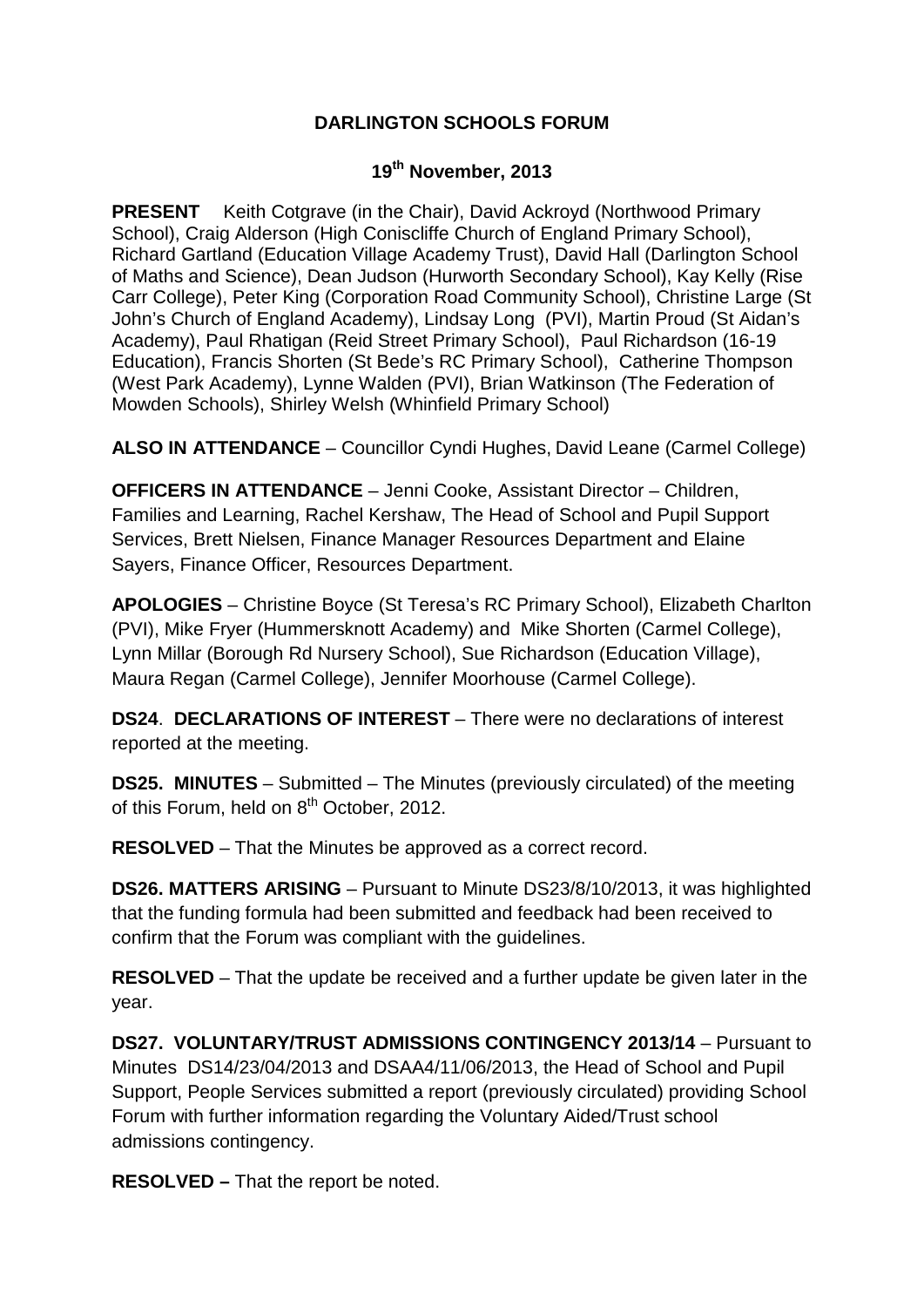## **DARLINGTON SCHOOLS FORUM**

## **19th November, 2013**

**PRESENT** Keith Cotgrave (in the Chair), David Ackroyd (Northwood Primary School), Craig Alderson (High Coniscliffe Church of England Primary School), Richard Gartland (Education Village Academy Trust), David Hall (Darlington School of Maths and Science), Dean Judson (Hurworth Secondary School), Kay Kelly (Rise Carr College), Peter King (Corporation Road Community School), Christine Large (St John's Church of England Academy), Lindsay Long (PVI), Martin Proud (St Aidan's Academy), Paul Rhatigan (Reid Street Primary School), Paul Richardson (16-19 Education), Francis Shorten (St Bede's RC Primary School), Catherine Thompson (West Park Academy), Lynne Walden (PVI), Brian Watkinson (The Federation of Mowden Schools), Shirley Welsh (Whinfield Primary School)

**ALSO IN ATTENDANCE** – Councillor Cyndi Hughes, David Leane (Carmel College)

**OFFICERS IN ATTENDANCE** – Jenni Cooke, Assistant Director – Children, Families and Learning, Rachel Kershaw, The Head of School and Pupil Support Services, Brett Nielsen, Finance Manager Resources Department and Elaine Sayers, Finance Officer, Resources Department.

**APOLOGIES** – Christine Boyce (St Teresa's RC Primary School), Elizabeth Charlton (PVI), Mike Fryer (Hummersknott Academy) and Mike Shorten (Carmel College), Lynn Millar (Borough Rd Nursery School), Sue Richardson (Education Village), Maura Regan (Carmel College), Jennifer Moorhouse (Carmel College).

**DS24**. **DECLARATIONS OF INTEREST** – There were no declarations of interest reported at the meeting.

**DS25. MINUTES** – Submitted – The Minutes (previously circulated) of the meeting of this Forum, held on 8<sup>th</sup> October, 2012.

**RESOLVED** – That the Minutes be approved as a correct record.

**DS26. MATTERS ARISING** – Pursuant to Minute DS23/8/10/2013, it was highlighted that the funding formula had been submitted and feedback had been received to confirm that the Forum was compliant with the guidelines.

**RESOLVED** – That the update be received and a further update be given later in the year.

**DS27. VOLUNTARY/TRUST ADMISSIONS CONTINGENCY 2013/14** – Pursuant to Minutes DS14/23/04/2013 and DSAA4/11/06/2013, the Head of School and Pupil Support, People Services submitted a report (previously circulated) providing School Forum with further information regarding the Voluntary Aided/Trust school admissions contingency.

**RESOLVED –** That the report be noted.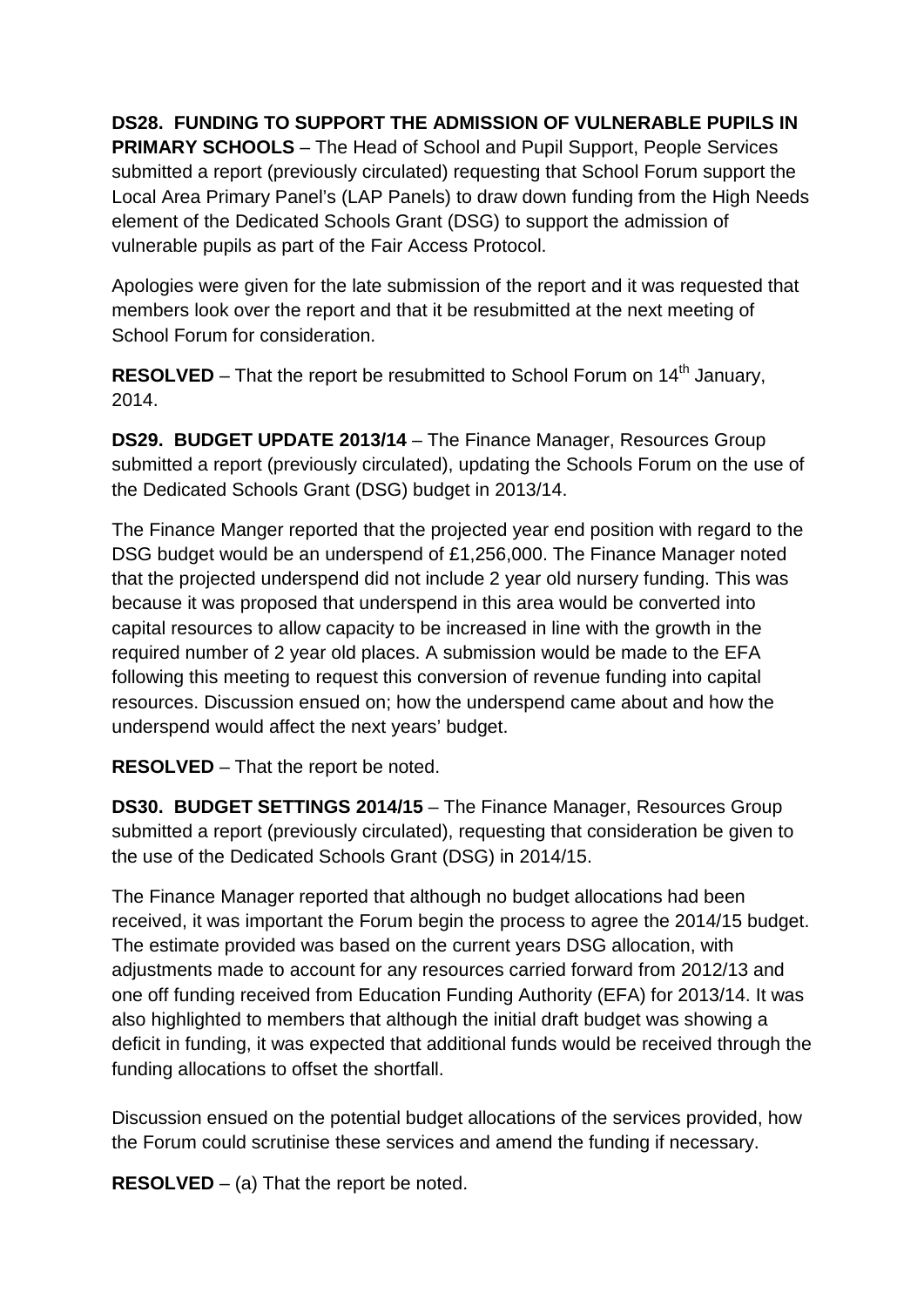## **DS28. FUNDING TO SUPPORT THE ADMISSION OF VULNERABLE PUPILS IN**

**PRIMARY SCHOOLS** – The Head of School and Pupil Support, People Services submitted a report (previously circulated) requesting that School Forum support the Local Area Primary Panel's (LAP Panels) to draw down funding from the High Needs element of the Dedicated Schools Grant (DSG) to support the admission of vulnerable pupils as part of the Fair Access Protocol.

Apologies were given for the late submission of the report and it was requested that members look over the report and that it be resubmitted at the next meeting of School Forum for consideration.

**RESOLVED** – That the report be resubmitted to School Forum on 14<sup>th</sup> January, 2014.

**DS29. BUDGET UPDATE 2013/14** – The Finance Manager, Resources Group submitted a report (previously circulated), updating the Schools Forum on the use of the Dedicated Schools Grant (DSG) budget in 2013/14.

The Finance Manger reported that the projected year end position with regard to the DSG budget would be an underspend of £1,256,000. The Finance Manager noted that the projected underspend did not include 2 year old nursery funding. This was because it was proposed that underspend in this area would be converted into capital resources to allow capacity to be increased in line with the growth in the required number of 2 year old places. A submission would be made to the EFA following this meeting to request this conversion of revenue funding into capital resources. Discussion ensued on; how the underspend came about and how the underspend would affect the next years' budget.

**RESOLVED** – That the report be noted.

**DS30. BUDGET SETTINGS 2014/15** – The Finance Manager, Resources Group submitted a report (previously circulated), requesting that consideration be given to the use of the Dedicated Schools Grant (DSG) in 2014/15.

The Finance Manager reported that although no budget allocations had been received, it was important the Forum begin the process to agree the 2014/15 budget. The estimate provided was based on the current years DSG allocation, with adjustments made to account for any resources carried forward from 2012/13 and one off funding received from Education Funding Authority (EFA) for 2013/14. It was also highlighted to members that although the initial draft budget was showing a deficit in funding, it was expected that additional funds would be received through the funding allocations to offset the shortfall.

Discussion ensued on the potential budget allocations of the services provided, how the Forum could scrutinise these services and amend the funding if necessary.

**RESOLVED** – (a) That the report be noted.